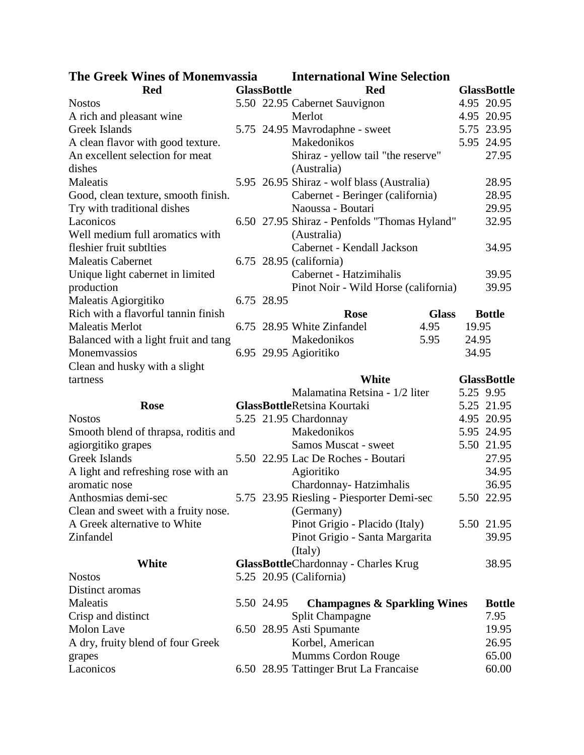| <b>The Greek Wines of Monemvassia</b> | <b>International Wine Selection</b> |                                                              |           |                    |
|---------------------------------------|-------------------------------------|--------------------------------------------------------------|-----------|--------------------|
| <b>Red</b>                            | <b>GlassBottle</b>                  | <b>Red</b>                                                   |           | <b>GlassBottle</b> |
| <b>Nostos</b>                         |                                     | 5.50 22.95 Cabernet Sauvignon                                |           | 4.95 20.95         |
| A rich and pleasant wine              |                                     | Merlot                                                       |           | 4.95 20.95         |
| Greek Islands                         |                                     | 5.75 24.95 Mavrodaphne - sweet                               |           | 5.75 23.95         |
| A clean flavor with good texture.     |                                     | Makedonikos                                                  |           | 5.95 24.95         |
| An excellent selection for meat       |                                     | Shiraz - yellow tail "the reserve"                           |           | 27.95              |
| dishes                                |                                     | (Australia)                                                  |           |                    |
| Maleatis                              |                                     | 5.95 26.95 Shiraz - wolf blass (Australia)                   |           | 28.95              |
| Good, clean texture, smooth finish.   |                                     | Cabernet - Beringer (california)                             |           | 28.95              |
| Try with traditional dishes           |                                     | Naoussa - Boutari                                            |           | 29.95              |
| Laconicos                             |                                     | 6.50 27.95 Shiraz - Penfolds "Thomas Hyland"                 |           | 32.95              |
| Well medium full aromatics with       |                                     | (Australia)                                                  |           |                    |
| fleshier fruit subtlties              |                                     | Cabernet - Kendall Jackson                                   |           | 34.95              |
| <b>Maleatis Cabernet</b>              |                                     | 6.75 28.95 (california)                                      |           |                    |
| Unique light cabernet in limited      |                                     | Cabernet - Hatzimihalis                                      |           | 39.95              |
| production                            |                                     | Pinot Noir - Wild Horse (california)                         |           | 39.95              |
| Maleatis Agiorgitiko                  | 6.75 28.95                          |                                                              |           |                    |
| Rich with a flavorful tannin finish   |                                     | <b>Glass</b><br><b>Rose</b>                                  |           | <b>Bottle</b>      |
| <b>Maleatis Merlot</b>                |                                     | 6.75 28.95 White Zinfandel<br>4.95                           | 19.95     |                    |
| Balanced with a light fruit and tang  |                                     | Makedonikos<br>5.95                                          | 24.95     |                    |
| Monemvassios                          |                                     | 6.95 29.95 Agioritiko                                        | 34.95     |                    |
| Clean and husky with a slight         |                                     |                                                              |           |                    |
| tartness                              |                                     | <b>White</b>                                                 |           | <b>GlassBottle</b> |
|                                       |                                     |                                                              |           |                    |
|                                       |                                     |                                                              |           |                    |
|                                       |                                     | Malamatina Retsina - 1/2 liter                               | 5.25 9.95 |                    |
| <b>Rose</b>                           |                                     | <b>GlassBottleRetsina Kourtaki</b>                           |           | 5.25 21.95         |
| <b>Nostos</b>                         |                                     | 5.25 21.95 Chardonnay                                        |           | 4.95 20.95         |
| Smooth blend of thrapsa, roditis and  |                                     | Makedonikos                                                  |           | 5.95 24.95         |
| agiorgitiko grapes                    |                                     | Samos Muscat - sweet                                         |           | 5.50 21.95         |
| <b>Greek Islands</b>                  |                                     | 5.50 22.95 Lac De Roches - Boutari                           |           | 27.95              |
| A light and refreshing rose with an   |                                     | Agioritiko                                                   |           | 34.95              |
| aromatic nose                         |                                     | Chardonnay-Hatzimhalis                                       |           | 36.95              |
| Anthosmias demi-sec                   |                                     | 5.75 23.95 Riesling - Piesporter Demi-sec                    |           | 5.50 22.95         |
| Clean and sweet with a fruity nose.   |                                     | (Germany)                                                    |           |                    |
| A Greek alternative to White          |                                     | Pinot Grigio - Placido (Italy)                               |           | 5.50 21.95         |
| Zinfandel                             |                                     | Pinot Grigio - Santa Margarita                               |           | 39.95              |
|                                       |                                     | (Italy)                                                      |           |                    |
| <b>White</b>                          |                                     | <b>GlassBottleChardonnay - Charles Krug</b>                  |           | 38.95              |
| <b>Nostos</b>                         |                                     | 5.25 20.95 (California)                                      |           |                    |
| Distinct aromas                       |                                     |                                                              |           |                    |
| Maleatis                              | 5.50 24.95                          | <b>Champagnes &amp; Sparkling Wines</b>                      |           | <b>Bottle</b>      |
| Crisp and distinct                    |                                     | Split Champagne                                              |           | 7.95               |
| Molon Lave                            |                                     | 6.50 28.95 Asti Spumante                                     |           | 19.95              |
| A dry, fruity blend of four Greek     |                                     | Korbel, American                                             |           | 26.95              |
| grapes<br>Laconicos                   |                                     | Mumms Cordon Rouge<br>6.50 28.95 Tattinger Brut La Francaise |           | 65.00<br>60.00     |